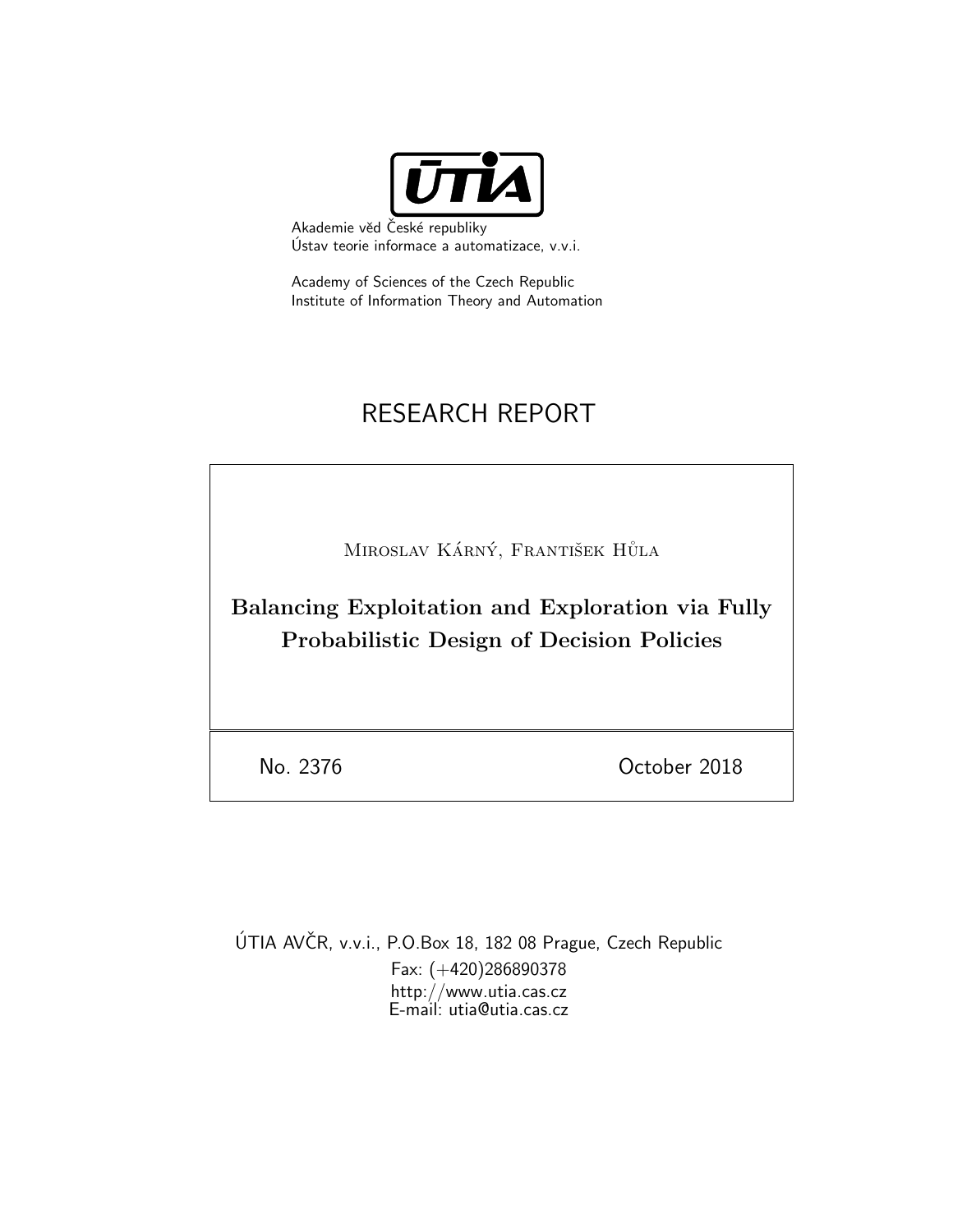

Akademie věd České republiky Ustav teorie informace a automatizace, v.v.i. ´

Academy of Sciences of the Czech Republic Institute of Information Theory and Automation

# RESEARCH REPORT

MIROSLAV KÁRNÝ, FRANTIŠEK HŮLA

Balancing Exploitation and Exploration via Fully Probabilistic Design of Decision Policies

No. 2376 October 2018

ÚTIA AVČR, v.v.i., P.O.Box 18, 182 08 Prague, Czech Republic Fax: (+420)286890378 http://www.utia.cas.cz E-mail: utia@utia.cas.cz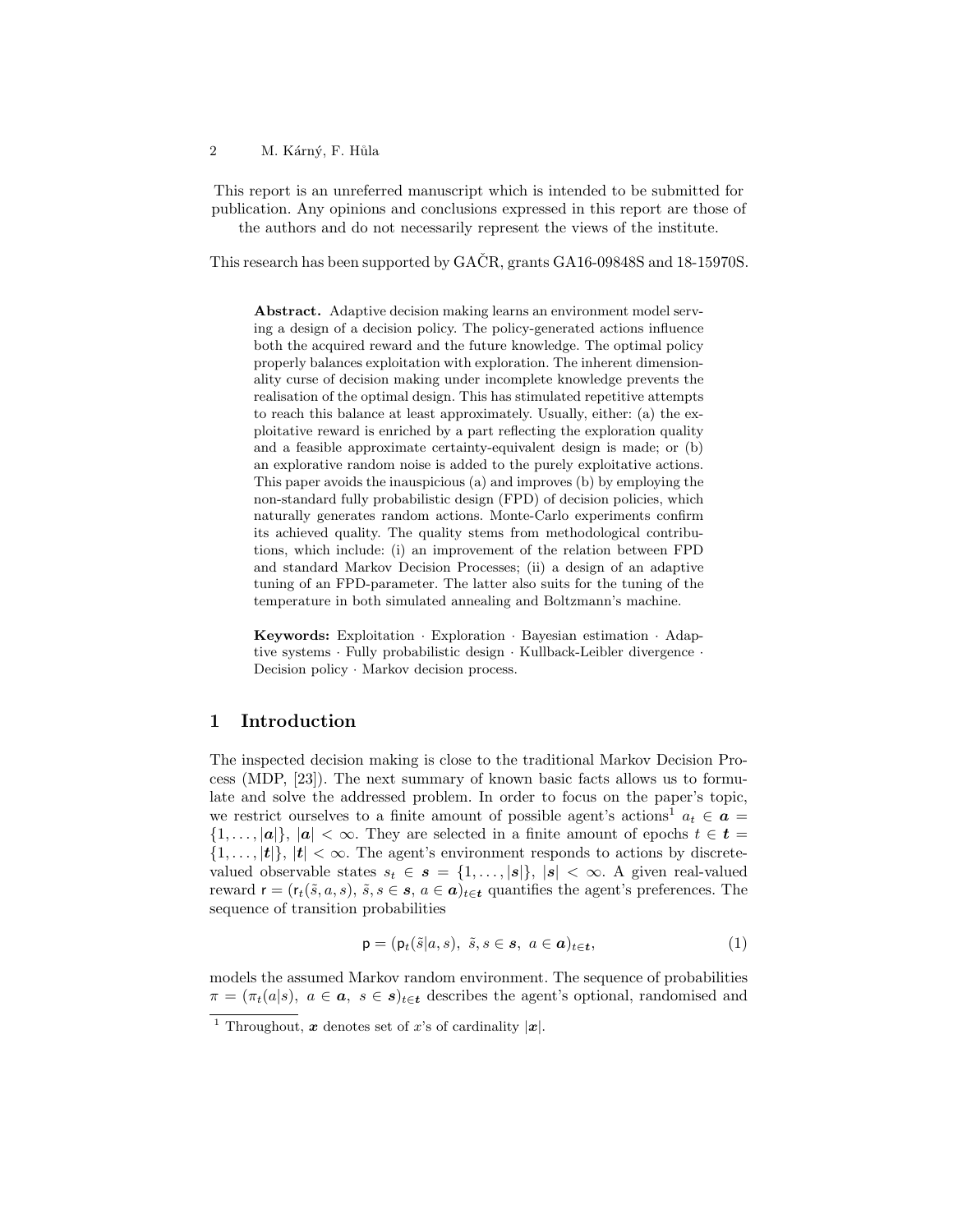#### 2 M. Kárný, F. Hůla

This report is an unreferred manuscript which is intended to be submitted for publication. Any opinions and conclusions expressed in this report are those of the authors and do not necessarily represent the views of the institute.

This research has been supported by  $GA\check{C}R$ , grants  $GA16-09848S$  and  $18-15970S$ .

Abstract. Adaptive decision making learns an environment model serving a design of a decision policy. The policy-generated actions influence both the acquired reward and the future knowledge. The optimal policy properly balances exploitation with exploration. The inherent dimensionality curse of decision making under incomplete knowledge prevents the realisation of the optimal design. This has stimulated repetitive attempts to reach this balance at least approximately. Usually, either: (a) the exploitative reward is enriched by a part reflecting the exploration quality and a feasible approximate certainty-equivalent design is made; or (b) an explorative random noise is added to the purely exploitative actions. This paper avoids the inauspicious (a) and improves (b) by employing the non-standard fully probabilistic design (FPD) of decision policies, which naturally generates random actions. Monte-Carlo experiments confirm its achieved quality. The quality stems from methodological contributions, which include: (i) an improvement of the relation between FPD and standard Markov Decision Processes; (ii) a design of an adaptive tuning of an FPD-parameter. The latter also suits for the tuning of the temperature in both simulated annealing and Boltzmann's machine.

Keywords: Exploitation · Exploration · Bayesian estimation · Adaptive systems · Fully probabilistic design · Kullback-Leibler divergence · Decision policy · Markov decision process.

### 1 Introduction

The inspected decision making is close to the traditional Markov Decision Process (MDP, [23]). The next summary of known basic facts allows us to formulate and solve the addressed problem. In order to focus on the paper's topic, we restrict ourselves to a finite amount of possible agent's actions<sup>1</sup>  $a_t \in \mathbf{a}$  $\{1,\ldots,|\boldsymbol{a}|\}, |\boldsymbol{a}| < \infty$ . They are selected in a finite amount of epochs  $t \in \boldsymbol{t} =$  $\{1,\ldots,|\boldsymbol{t}|\}, |\boldsymbol{t}| < \infty$ . The agent's environment responds to actions by discretevalued observable states  $s_t \in s = \{1, \ldots, |s|\}, |s| < \infty$ . A given real-valued reward  $\mathbf{r} = (\mathbf{r}_t(\tilde{s}, a, s), \tilde{s}, s \in \mathbf{s}, a \in \mathbf{a})_{t \in \mathbf{t}}$  quantifies the agent's preferences. The sequence of transition probabilities

$$
\mathsf{p} = (\mathsf{p}_t(\tilde{s}|a,s), \ \tilde{s}, s \in \mathbf{s}, \ a \in \mathbf{a})_{t \in \mathbf{t}},\tag{1}
$$

models the assumed Markov random environment. The sequence of probabilities  $\pi = (\pi_t(a|s), a \in \mathbf{a}, s \in s)_{t \in \mathbf{t}}$  describes the agent's optional, randomised and

<sup>&</sup>lt;sup>1</sup> Throughout, **x** denotes set of x's of cardinality  $|x|$ .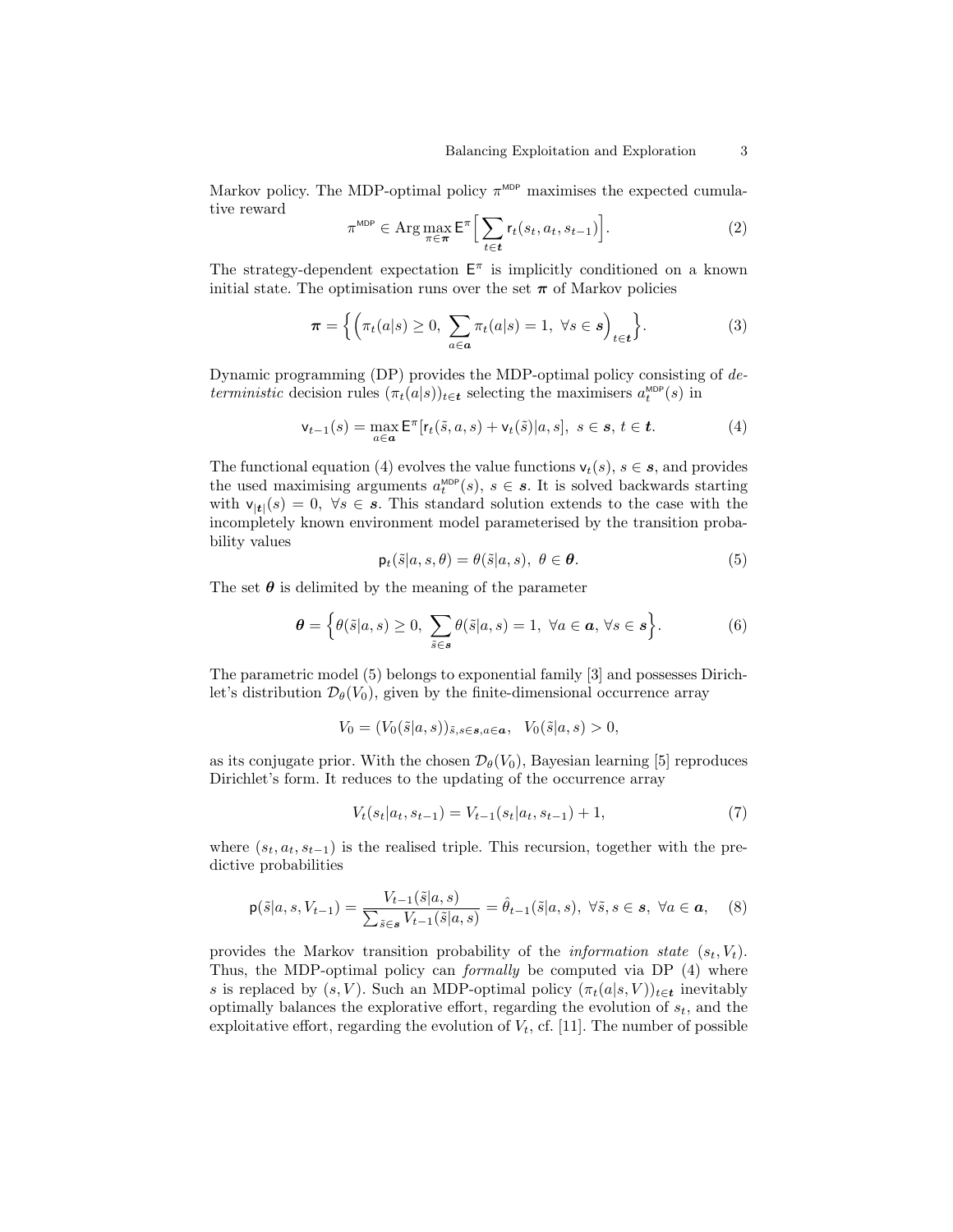Markov policy. The MDP-optimal policy  $\pi^{\text{MDP}}$  maximises the expected cumulative reward

$$
\pi^{\text{MDP}} \in \operatorname{Arg} \max_{\pi \in \pi} \mathsf{E}^{\pi} \Big[ \sum_{t \in \mathbf{t}} r_t(s_t, a_t, s_{t-1}) \Big]. \tag{2}
$$

The strategy-dependent expectation  $E^{\pi}$  is implicitly conditioned on a known initial state. The optimisation runs over the set  $\pi$  of Markov policies

$$
\boldsymbol{\pi} = \left\{ \left( \pi_t(a|s) \ge 0, \sum_{a \in \mathbf{a}} \pi_t(a|s) = 1, \ \forall s \in \mathbf{s} \right)_{t \in \mathbf{t}} \right\}.
$$
 (3)

Dynamic programming (DP) provides the MDP-optimal policy consisting of deterministic decision rules  $(\pi_t(a|s))_{t \in \mathbf{t}}$  selecting the maximisers  $a_t^{\text{MDP}}(s)$  in

$$
\mathsf{v}_{t-1}(s) = \max_{a \in \mathbf{a}} \mathsf{E}^{\pi} [r_t(\tilde{s}, a, s) + \mathsf{v}_t(\tilde{s})|a, s], \ s \in \mathbf{s}, \ t \in \mathbf{t}.
$$
 (4)

The functional equation (4) evolves the value functions  $v_t(s)$ ,  $s \in \mathcal{S}$ , and provides the used maximising arguments  $a_t^{\text{MDP}}(s)$ ,  $s \in \mathbf{s}$ . It is solved backwards starting with  $v_{|t|}(s) = 0$ ,  $\forall s \in s$ . This standard solution extends to the case with the incompletely known environment model parameterised by the transition probability values

$$
\mathsf{p}_t(\tilde{s}|a,s,\theta) = \theta(\tilde{s}|a,s), \ \theta \in \boldsymbol{\theta}.\tag{5}
$$

The set  $\theta$  is delimited by the meaning of the parameter

$$
\boldsymbol{\theta} = \left\{ \theta(\tilde{s}|a,s) \ge 0, \sum_{\tilde{s} \in \mathbf{s}} \theta(\tilde{s}|a,s) = 1, \ \forall a \in \mathbf{a}, \forall s \in \mathbf{s} \right\}.
$$
 (6)

The parametric model (5) belongs to exponential family [3] and possesses Dirichlet's distribution  $\mathcal{D}_{\theta}(V_0)$ , given by the finite-dimensional occurrence array

$$
V_0 = (V_0(\tilde{s}|a,s))_{\tilde{s},s \in \mathbf{s},a \in \mathbf{a}}, \quad V_0(\tilde{s}|a,s) > 0,
$$

as its conjugate prior. With the chosen  $\mathcal{D}_{\theta}(V_0)$ , Bayesian learning [5] reproduces Dirichlet's form. It reduces to the updating of the occurrence array

$$
V_t(s_t|a_t, s_{t-1}) = V_{t-1}(s_t|a_t, s_{t-1}) + 1,
$$
\n<sup>(7)</sup>

where  $(s_t, a_t, s_{t-1})$  is the realised triple. This recursion, together with the predictive probabilities

$$
\mathsf{p}(\tilde{s}|a,s,V_{t-1}) = \frac{V_{t-1}(\tilde{s}|a,s)}{\sum_{\tilde{s}\in\mathbf{s}}V_{t-1}(\tilde{s}|a,s)} = \hat{\theta}_{t-1}(\tilde{s}|a,s), \ \forall \tilde{s}, s \in \mathbf{s}, \ \forall a \in \mathbf{a}, \tag{8}
$$

provides the Markov transition probability of the *information state*  $(s_t, V_t)$ . Thus, the MDP-optimal policy can formally be computed via DP (4) where s is replaced by  $(s, V)$ . Such an MDP-optimal policy  $(\pi_t(a|s, V))_{t \in \mathbf{t}}$  inevitably optimally balances the explorative effort, regarding the evolution of  $s_t$ , and the exploitative effort, regarding the evolution of  $V_t$ , cf. [11]. The number of possible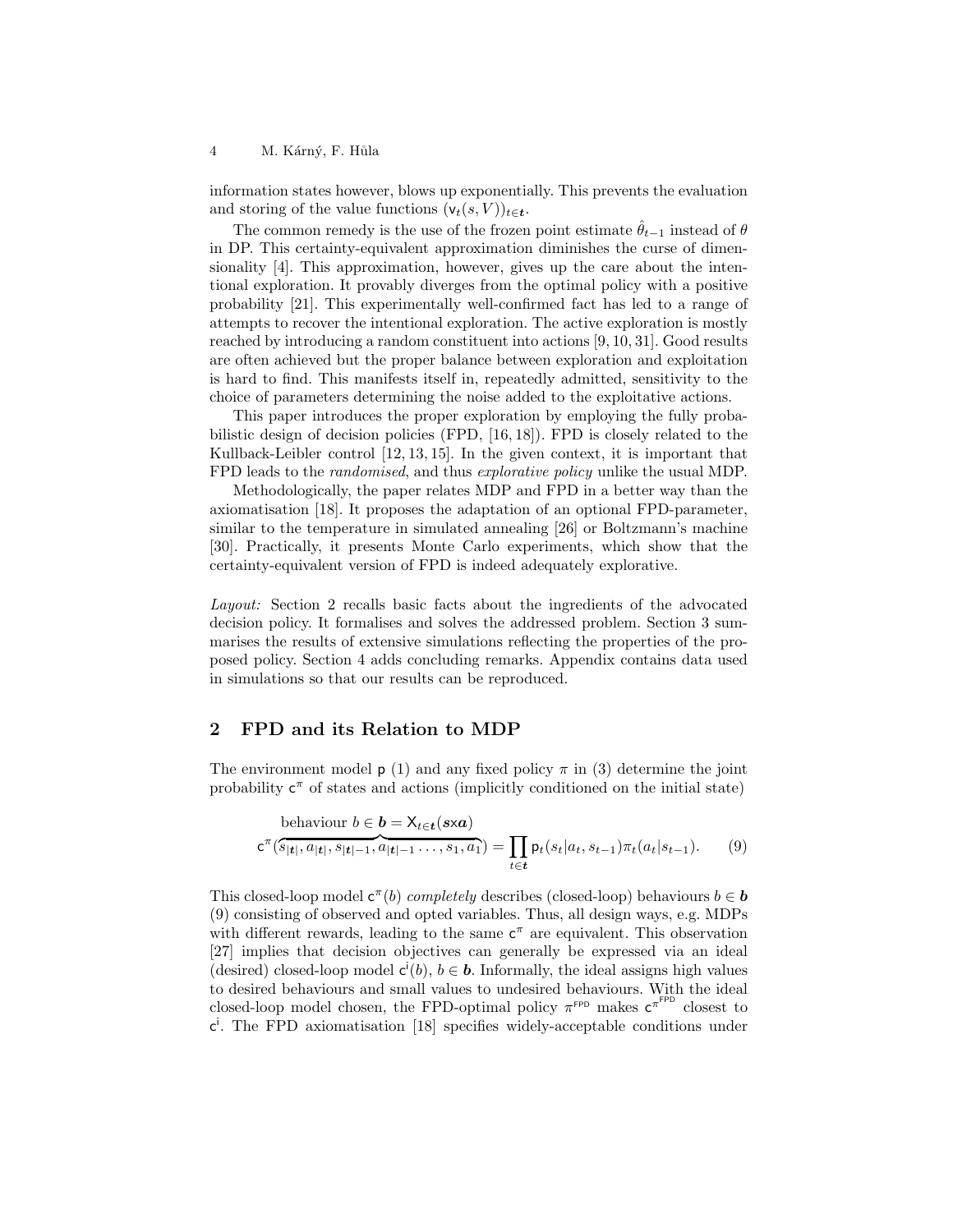4 M. Kárný, F. Hůla

information states however, blows up exponentially. This prevents the evaluation and storing of the value functions  $(v_t(s, V))_{t \in \mathbf{t}}$ .

The common remedy is the use of the frozen point estimate  $\hat{\theta}_{t-1}$  instead of  $\theta$ in DP. This certainty-equivalent approximation diminishes the curse of dimensionality [4]. This approximation, however, gives up the care about the intentional exploration. It provably diverges from the optimal policy with a positive probability [21]. This experimentally well-confirmed fact has led to a range of attempts to recover the intentional exploration. The active exploration is mostly reached by introducing a random constituent into actions [9, 10, 31]. Good results are often achieved but the proper balance between exploration and exploitation is hard to find. This manifests itself in, repeatedly admitted, sensitivity to the choice of parameters determining the noise added to the exploitative actions.

This paper introduces the proper exploration by employing the fully probabilistic design of decision policies (FPD, [16, 18]). FPD is closely related to the Kullback-Leibler control [12, 13, 15]. In the given context, it is important that FPD leads to the randomised, and thus explorative policy unlike the usual MDP.

Methodologically, the paper relates MDP and FPD in a better way than the axiomatisation [18]. It proposes the adaptation of an optional FPD-parameter, similar to the temperature in simulated annealing [26] or Boltzmann's machine [30]. Practically, it presents Monte Carlo experiments, which show that the certainty-equivalent version of FPD is indeed adequately explorative.

Layout: Section 2 recalls basic facts about the ingredients of the advocated decision policy. It formalises and solves the addressed problem. Section 3 summarises the results of extensive simulations reflecting the properties of the proposed policy. Section 4 adds concluding remarks. Appendix contains data used in simulations so that our results can be reproduced.

#### 2 FPD and its Relation to MDP

The environment model  $p(1)$  and any fixed policy  $\pi$  in (3) determine the joint probability  $c^{\pi}$  of states and actions (implicitly conditioned on the initial state)

behavior 
$$
b \in \mathbf{b} = \mathsf{X}_{t \in \mathbf{t}}(s \times \mathbf{a})
$$
  

$$
\mathsf{c}^{\pi}(\overline{s_{|\mathbf{t}|}, a_{|\mathbf{t}|}, s_{|\mathbf{t}|-1}, a_{|\mathbf{t}|-1}, \ldots, s_1, a_1}) = \prod_{t \in \mathbf{t}} \mathsf{p}_t(s_t|a_t, s_{t-1}) \pi_t(a_t|s_{t-1}). \qquad (9)
$$

This closed-loop model  $c^{\pi}(b)$  completely describes (closed-loop) behaviours  $b \in b$ (9) consisting of observed and opted variables. Thus, all design ways, e.g. MDPs with different rewards, leading to the same  $c^{\pi}$  are equivalent. This observation [27] implies that decision objectives can generally be expressed via an ideal (desired) closed-loop model  $c^i(b)$ ,  $b \in \mathbf{b}$ . Informally, the ideal assigns high values to desired behaviours and small values to undesired behaviours. With the ideal closed-loop model chosen, the FPD-optimal policy  $\pi^{\text{FPD}}$  makes  $\mathsf{c}^{\pi^{\text{FPD}}}$  closest to c i . The FPD axiomatisation [18] specifies widely-acceptable conditions under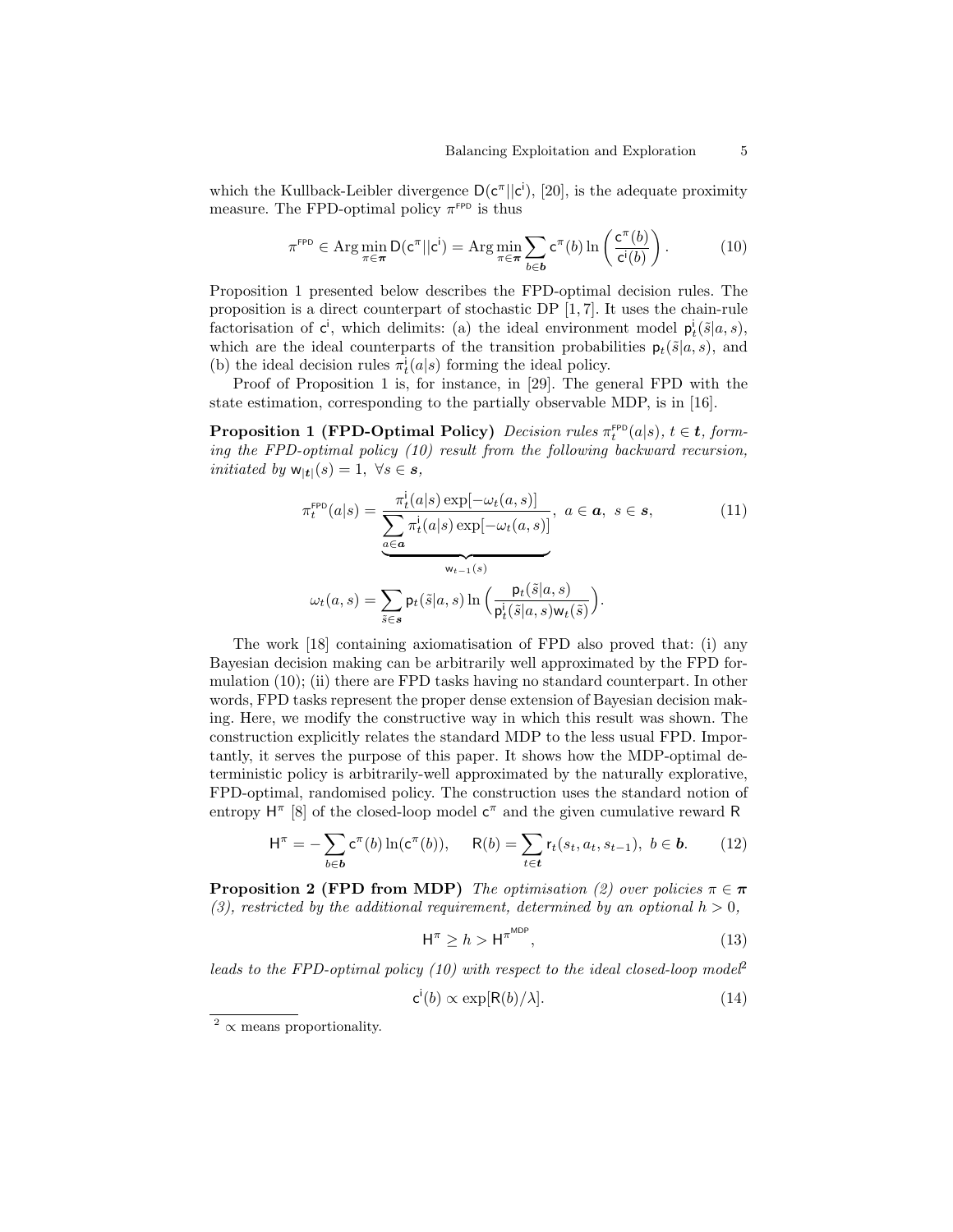which the Kullback-Leibler divergence  $D(c^{\pi}||c^i)$ , [20], is the adequate proximity measure. The FPD-optimal policy  $\pi$ <sup>FPD</sup> is thus

$$
\pi^{\text{FPD}} \in \operatorname{Arg} \min_{\pi \in \pi} \mathsf{D}(\mathsf{c}^{\pi}||\mathsf{c}^{\mathsf{i}}) = \operatorname{Arg} \min_{\pi \in \pi} \sum_{b \in \mathbf{b}} \mathsf{c}^{\pi}(b) \ln \left(\frac{\mathsf{c}^{\pi}(b)}{\mathsf{c}^{\mathsf{i}}(b)}\right). \tag{10}
$$

Proposition 1 presented below describes the FPD-optimal decision rules. The proposition is a direct counterpart of stochastic DP [1, 7]. It uses the chain-rule factorisation of  $c^i$ , which delimits: (a) the ideal environment model  $p_t^i(\tilde{s}|a, s)$ , which are the ideal counterparts of the transition probabilities  $p_t(\tilde{s}|a, s)$ , and (b) the ideal decision rules  $\pi_t^i(a|s)$  forming the ideal policy.

Proof of Proposition 1 is, for instance, in [29]. The general FPD with the state estimation, corresponding to the partially observable MDP, is in [16].

**Proposition 1 (FPD-Optimal Policy)** Decision rules  $\pi_t^{\text{FPD}}(a|s)$ ,  $t \in \mathbf{t}$ , forming the FPD-optimal policy (10) result from the following backward recursion, initiated by  $w_{|t|}(s) = 1, \ \forall s \in s$ ,

$$
\pi_t^{\text{FPD}}(a|s) = \frac{\pi_t^i(a|s) \exp[-\omega_t(a,s)]}{\sum_{a \in \mathbf{a}} \pi_t^i(a|s) \exp[-\omega_t(a,s)]}, \ a \in \mathbf{a}, \ s \in \mathbf{s},
$$
\n(11)\n
$$
\omega_t(a,s) = \sum_{\tilde{s} \in \mathbf{s}} \mathsf{p}_t(\tilde{s}|a,s) \ln\left(\frac{\mathsf{p}_t(\tilde{s}|a,s)}{\mathsf{p}_t^i(\tilde{s}|a,s) \mathsf{w}_t(\tilde{s})}\right).
$$

The work [18] containing axiomatisation of FPD also proved that: (i) any Bayesian decision making can be arbitrarily well approximated by the FPD formulation (10); (ii) there are FPD tasks having no standard counterpart. In other words, FPD tasks represent the proper dense extension of Bayesian decision making. Here, we modify the constructive way in which this result was shown. The construction explicitly relates the standard MDP to the less usual FPD. Importantly, it serves the purpose of this paper. It shows how the MDP-optimal deterministic policy is arbitrarily-well approximated by the naturally explorative, FPD-optimal, randomised policy. The construction uses the standard notion of entropy  $H^{\pi}$  [8] of the closed-loop model  $c^{\pi}$  and the given cumulative reward R

$$
\mathsf{H}^{\pi} = -\sum_{b \in \mathbf{b}} \mathsf{c}^{\pi}(b) \ln(\mathsf{c}^{\pi}(b)), \quad \mathsf{R}(b) = \sum_{t \in \mathbf{t}} \mathsf{r}_t(s_t, a_t, s_{t-1}), \ b \in \mathbf{b}.
$$
 (12)

**Proposition 2 (FPD from MDP)** The optimisation (2) over policies  $\pi \in \pi$ (3), restricted by the additional requirement, determined by an optional  $h > 0$ ,

$$
\mathsf{H}^{\pi} \ge h > \mathsf{H}^{\pi^{\text{MDP}}},\tag{13}
$$

leads to the FPD-optimal policy (10) with respect to the ideal closed-loop model<sup>2</sup>

$$
\mathsf{c}^{\mathsf{i}}(b) \propto \exp[\mathsf{R}(b)/\lambda].\tag{14}
$$

 $\overline{2}$   $\propto$  means proportionality.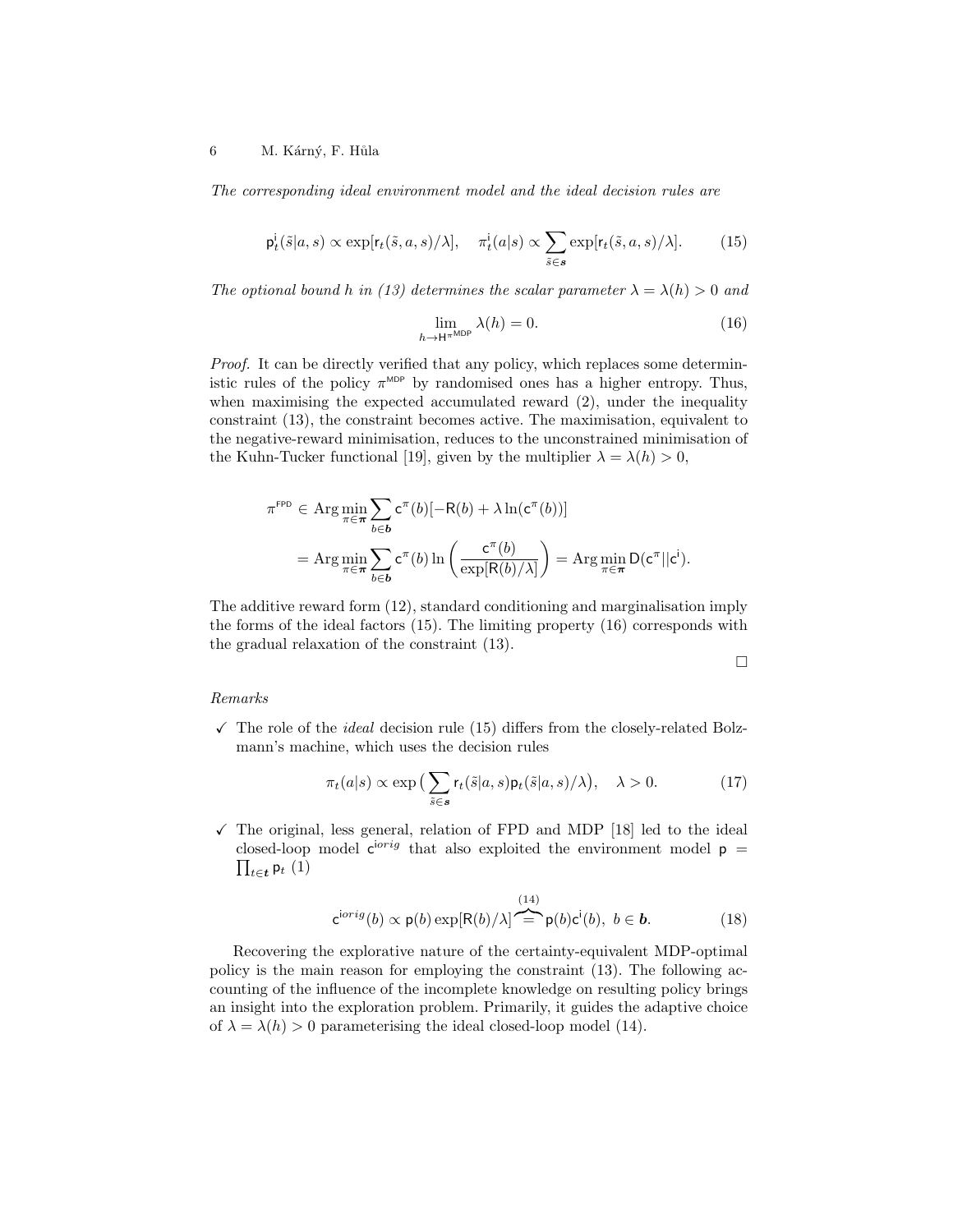The corresponding ideal environment model and the ideal decision rules are

$$
\mathsf{p}_t^{\mathsf{i}}(\tilde{s}|a,s) \propto \exp[r_t(\tilde{s},a,s)/\lambda], \quad \pi_t^{\mathsf{i}}(a|s) \propto \sum_{\tilde{s}\in\mathcal{s}} \exp[r_t(\tilde{s},a,s)/\lambda]. \tag{15}
$$

The optional bound h in (13) determines the scalar parameter  $\lambda = \lambda(h) > 0$  and

$$
\lim_{h \to H^{\pi_{\text{MDP}}}} \lambda(h) = 0. \tag{16}
$$

Proof. It can be directly verified that any policy, which replaces some deterministic rules of the policy  $\pi^{\text{MDP}}$  by randomised ones has a higher entropy. Thus, when maximising the expected accumulated reward  $(2)$ , under the inequality constraint (13), the constraint becomes active. The maximisation, equivalent to the negative-reward minimisation, reduces to the unconstrained minimisation of the Kuhn-Tucker functional [19], given by the multiplier  $\lambda = \lambda(h) > 0$ ,

$$
\pi^{\text{FPD}} \in \operatorname{Arg} \min_{\pi \in \pi} \sum_{b \in \mathbf{b}} c^{\pi}(b) [-R(b) + \lambda \ln(c^{\pi}(b))]
$$
  
= 
$$
\operatorname{Arg} \min_{\pi \in \pi} \sum_{b \in \mathbf{b}} c^{\pi}(b) \ln \left( \frac{c^{\pi}(b)}{\exp[R(b)/\lambda]} \right) = \operatorname{Arg} \min_{\pi \in \pi} D(c^{\pi} || c^i).
$$

The additive reward form (12), standard conditioning and marginalisation imply the forms of the ideal factors (15). The limiting property (16) corresponds with the gradual relaxation of the constraint (13).

 $\Box$ 

#### Remarks

 $\checkmark$  The role of the *ideal* decision rule (15) differs from the closely-related Bolzmann's machine, which uses the decision rules

$$
\pi_t(a|s) \propto \exp\left(\sum_{\tilde{s}\in\mathbf{s}} \mathsf{r}_t(\tilde{s}|a,s)\mathsf{p}_t(\tilde{s}|a,s)/\lambda\right), \quad \lambda > 0. \tag{17}
$$

 $\checkmark$  The original, less general, relation of FPD and MDP [18] led to the ideal closed-loop model  $\mathbf{c}^{\text{i} \text{i} \text{i} \text{j}}$  that also exploited the environment model  $\mathbf{p} =$  $\prod_{t \in \boldsymbol{t}} \mathsf{p}_t\ (1)$ 

$$
\mathsf{c}^{\text{i}orig}(b) \propto \mathsf{p}(b) \exp[\mathsf{R}(b)/\lambda] \stackrel{(14)}{\leftarrow} \mathsf{p}(b)\mathsf{c}^{\mathsf{i}}(b), \ b \in \mathbf{b}.\tag{18}
$$

Recovering the explorative nature of the certainty-equivalent MDP-optimal policy is the main reason for employing the constraint (13). The following accounting of the influence of the incomplete knowledge on resulting policy brings an insight into the exploration problem. Primarily, it guides the adaptive choice of  $\lambda = \lambda(h) > 0$  parameterising the ideal closed-loop model (14).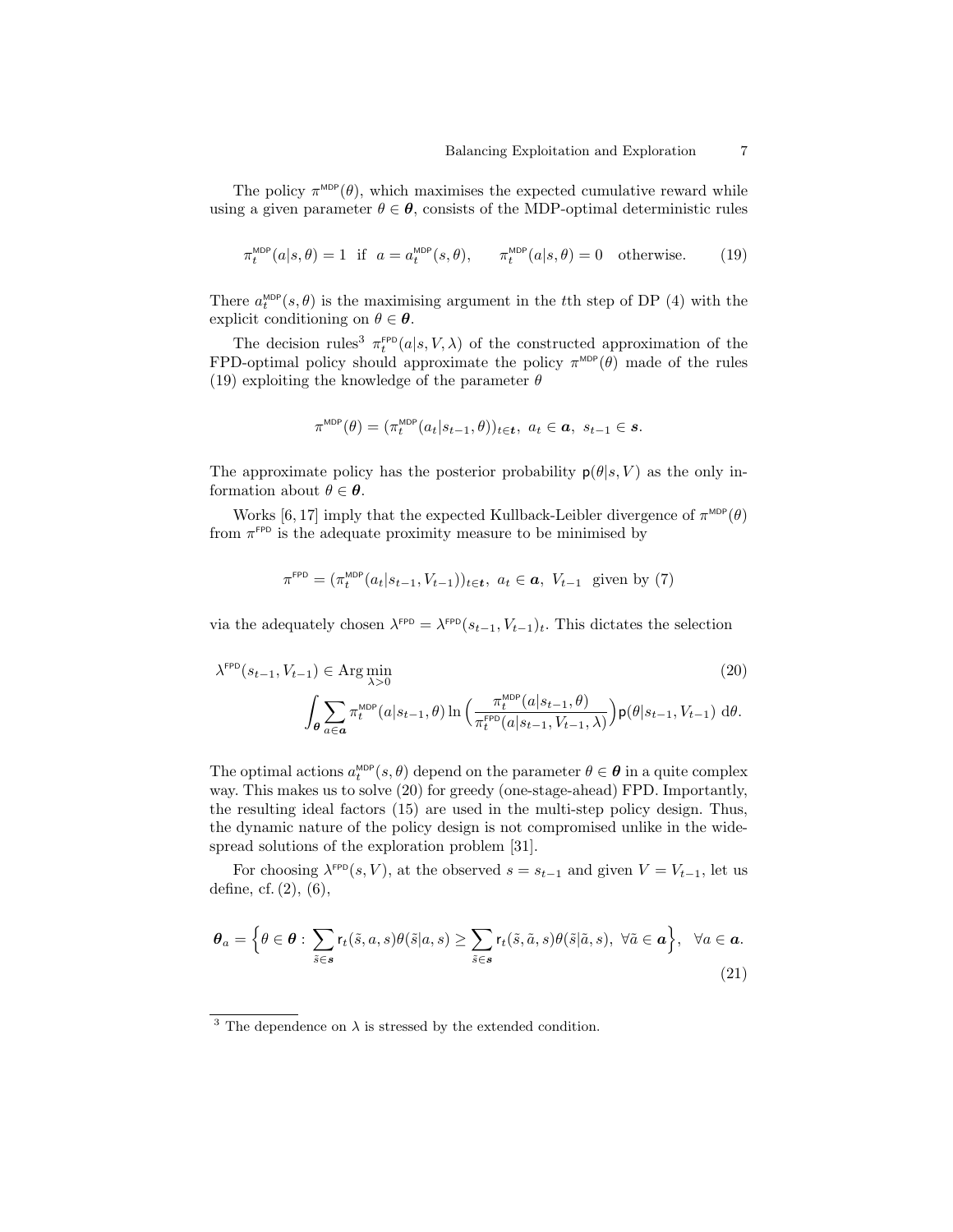The policy  $\pi^{\text{MDP}}(\theta)$ , which maximises the expected cumulative reward while using a given parameter  $\theta \in \theta$ , consists of the MDP-optimal deterministic rules

$$
\pi_t^{\text{MDP}}(a|s,\theta) = 1 \quad \text{if} \quad a = a_t^{\text{MDP}}(s,\theta), \qquad \pi_t^{\text{MDP}}(a|s,\theta) = 0 \quad \text{otherwise.} \tag{19}
$$

There  $a_t^{\text{MDP}}(s, \theta)$  is the maximising argument in the tth step of DP (4) with the explicit conditioning on  $\theta \in \boldsymbol{\theta}$ .

The decision rules<sup>3</sup>  $\pi_t^{\text{FPD}}(a|s,V,\lambda)$  of the constructed approximation of the FPD-optimal policy should approximate the policy  $\pi^{\text{MDP}}(\theta)$  made of the rules (19) exploiting the knowledge of the parameter  $\theta$ 

$$
\pi^{\mathrm{MDP}}(\theta)=(\pi^{\mathrm{MDP}}_t(a_t|s_{t-1},\theta))_{t\in\mathbf{t}},\ a_t\in\mathbf{a},\ s_{t-1}\in\mathbf{s}.
$$

The approximate policy has the posterior probability  $p(\theta|s, V)$  as the only information about  $\theta \in \boldsymbol{\theta}$ .

Works [6, 17] imply that the expected Kullback-Leibler divergence of  $\pi^{\text{MDP}}(\theta)$ from  $\pi$ <sup>FPD</sup> is the adequate proximity measure to be minimised by

$$
\pi^{\text{FPD}} = (\pi_t^{\text{MDP}}(a_t|s_{t-1}, V_{t-1}))_{t \in \mathbf{t}}, a_t \in \mathbf{a}, V_{t-1} \text{ given by (7)}
$$

via the adequately chosen  $\lambda^{\text{FPD}} = \lambda^{\text{FPD}}(s_{t-1}, V_{t-1})_t$ . This dictates the selection

$$
\lambda^{\text{FPD}}(s_{t-1}, V_{t-1}) \in \text{Arg}\min_{\lambda > 0} \tag{20}
$$
\n
$$
\int_{\theta} \sum_{a \in \mathbf{a}} \pi_t^{\text{MDP}}(a|s_{t-1}, \theta) \ln \left( \frac{\pi_t^{\text{MDP}}(a|s_{t-1}, \theta)}{\pi_t^{\text{FPD}}(a|s_{t-1}, V_{t-1}, \lambda)} \right) \mathbf{p}(\theta|s_{t-1}, V_{t-1}) \, d\theta.
$$

The optimal actions  $a_t^{\text{MDP}}(s, \theta)$  depend on the parameter  $\theta \in \theta$  in a quite complex way. This makes us to solve (20) for greedy (one-stage-ahead) FPD. Importantly, the resulting ideal factors (15) are used in the multi-step policy design. Thus, the dynamic nature of the policy design is not compromised unlike in the widespread solutions of the exploration problem [31].

For choosing  $\lambda^{\text{FPD}}(s, V)$ , at the observed  $s = s_{t-1}$  and given  $V = V_{t-1}$ , let us define, cf. (2), (6),

$$
\boldsymbol{\theta}_{a} = \left\{ \theta \in \boldsymbol{\theta} : \sum_{\tilde{s} \in \mathbf{s}} r_{t}(\tilde{s}, a, s) \theta(\tilde{s}|a, s) \ge \sum_{\tilde{s} \in \mathbf{s}} r_{t}(\tilde{s}, \tilde{a}, s) \theta(\tilde{s}|\tilde{a}, s), \ \forall \tilde{a} \in \mathbf{a} \right\}, \ \forall a \in \mathbf{a}.
$$
\n(21)

<sup>&</sup>lt;sup>3</sup> The dependence on  $\lambda$  is stressed by the extended condition.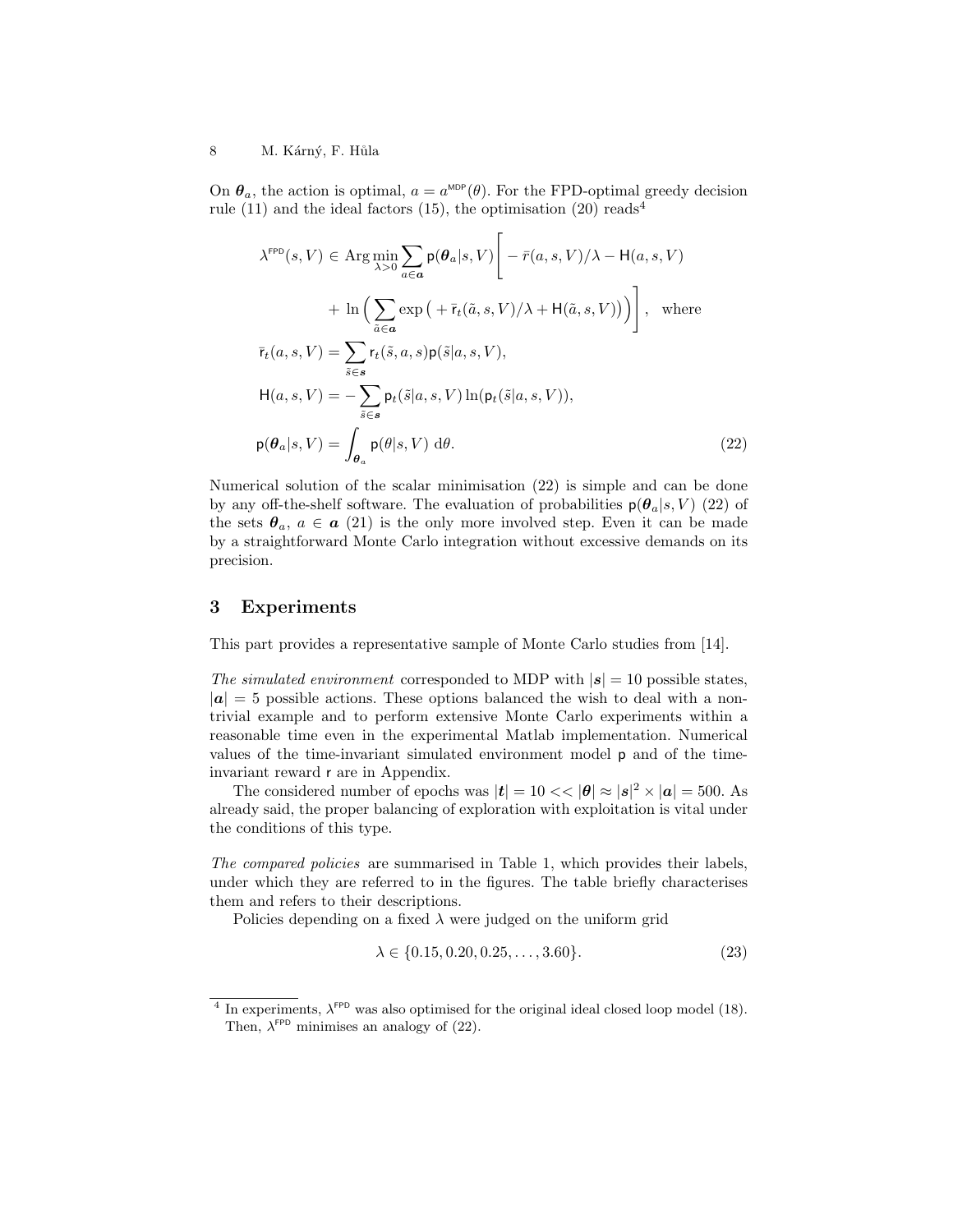#### 8 M. Kárný, F. Hůla

On  $\theta_a$ , the action is optimal,  $a = a^{\text{MDP}}(\theta)$ . For the FPD-optimal greedy decision rule (11) and the ideal factors (15), the optimisation (20) reads<sup>4</sup>

$$
\lambda^{\text{FPD}}(s, V) \in \text{Arg}\min_{\lambda > 0} \sum_{a \in \mathbf{a}} \mathsf{p}(\theta_a | s, V) \Bigg[ -\bar{r}(a, s, V) / \lambda - \mathsf{H}(a, s, V) \n+ \ln \Big( \sum_{\tilde{a} \in \mathbf{a}} \exp \big( + \bar{r}_t(\tilde{a}, s, V) / \lambda + \mathsf{H}(\tilde{a}, s, V) \big) \Big) \Bigg], \text{ where}
$$
\n
$$
\bar{r}_t(a, s, V) = \sum_{\tilde{s} \in \mathbf{s}} \mathsf{r}_t(\tilde{s}, a, s) \mathsf{p}(\tilde{s} | a, s, V),
$$
\n
$$
\mathsf{H}(a, s, V) = -\sum_{\tilde{s} \in \mathbf{s}} \mathsf{p}_t(\tilde{s} | a, s, V) \ln(\mathsf{p}_t(\tilde{s} | a, s, V)),
$$
\n
$$
\mathsf{p}(\theta_a | s, V) = \int_{\theta_a} \mathsf{p}(\theta | s, V) \, \mathrm{d}\theta. \tag{22}
$$

Numerical solution of the scalar minimisation (22) is simple and can be done by any off-the-shelf software. The evaluation of probabilities  $p(\theta_a|s, V)$  (22) of the sets  $\theta_a$ ,  $a \in \mathbf{a}$  (21) is the only more involved step. Even it can be made by a straightforward Monte Carlo integration without excessive demands on its precision.

## 3 Experiments

This part provides a representative sample of Monte Carlo studies from [14].

The simulated environment corresponded to MDP with  $|s| = 10$  possible states,  $|a| = 5$  possible actions. These options balanced the wish to deal with a nontrivial example and to perform extensive Monte Carlo experiments within a reasonable time even in the experimental Matlab implementation. Numerical values of the time-invariant simulated environment model p and of the timeinvariant reward r are in Appendix.

The considered number of epochs was  $|t| = 10 \ll |\theta| \approx |s|^2 \times |\mathbf{a}| = 500$ . As already said, the proper balancing of exploration with exploitation is vital under the conditions of this type.

The compared policies are summarised in Table 1, which provides their labels, under which they are referred to in the figures. The table briefly characterises them and refers to their descriptions.

Policies depending on a fixed  $\lambda$  were judged on the uniform grid

$$
\lambda \in \{0.15, 0.20, 0.25, \dots, 3.60\}.
$$
\n
$$
(23)
$$

<sup>&</sup>lt;sup>4</sup> In experiments,  $\lambda^{\text{FPD}}$  was also optimised for the original ideal closed loop model (18). Then,  $\lambda^{\text{FPD}}$  minimises an analogy of (22).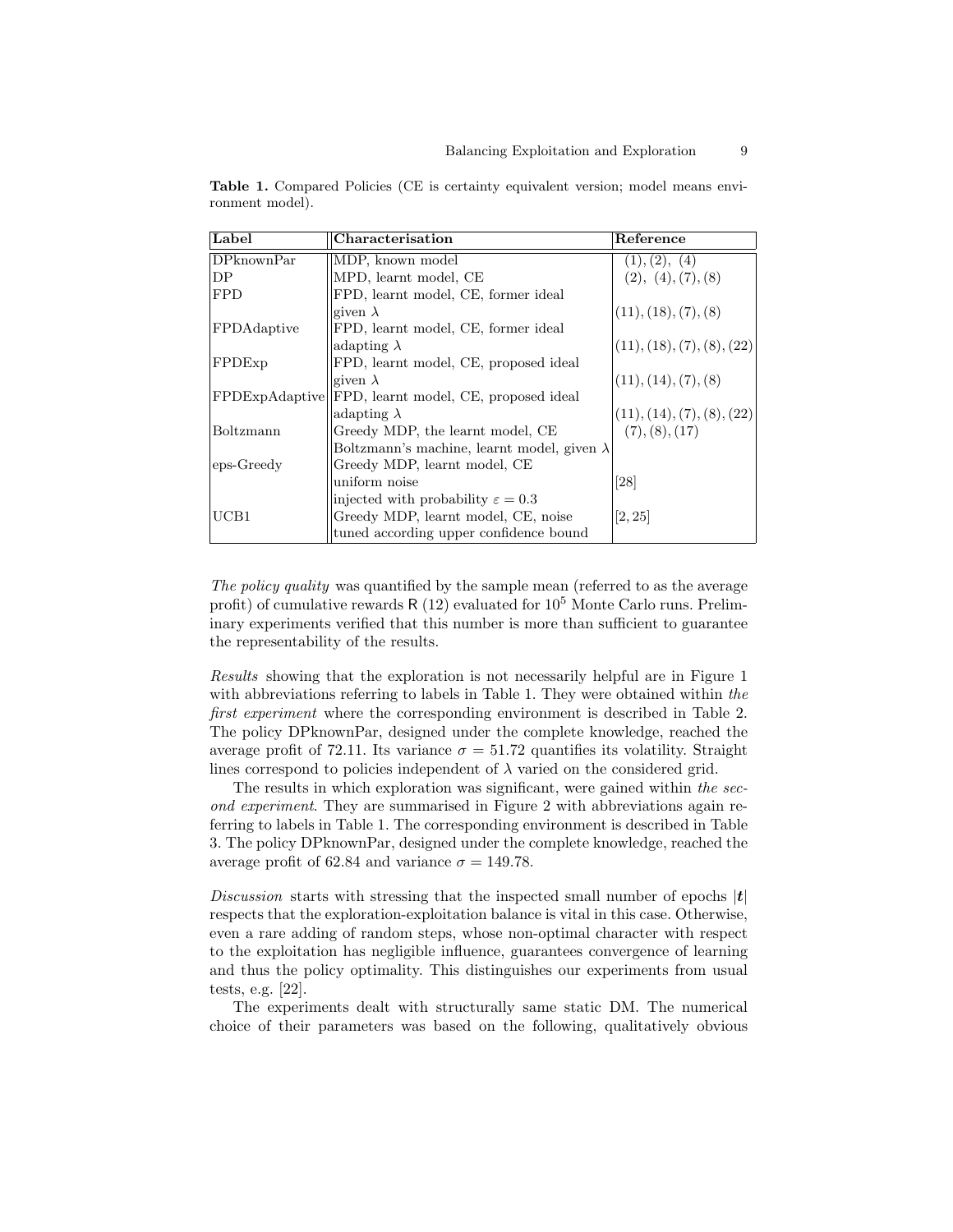| Label              | Characterisation                                   | Reference                  |
|--------------------|----------------------------------------------------|----------------------------|
| DPknownPar         | MDP, known model                                   | (1), (2), (4)              |
| DP                 | MPD, learnt model, CE                              | (2), (4), (7), (8)         |
| <b>FPD</b>         | FPD, learnt model, CE, former ideal                |                            |
|                    | given $\lambda$                                    | (11), (18), (7), (8)       |
| FPDAdaptive        | FPD, learnt model, CE, former ideal                |                            |
|                    | adapting $\lambda$                                 | (11), (18), (7), (8), (22) |
| FPDE <sub>xp</sub> | FPD, learnt model, CE, proposed ideal              |                            |
|                    | given $\lambda$                                    | (11), (14), (7), (8)       |
| FPDExpAdaptive     | FPD, learnt model, CE, proposed ideal              |                            |
|                    | adapting $\lambda$                                 | (11), (14), (7), (8), (22) |
| Boltzmann          | Greedy MDP, the learnt model, CE                   | (7), (8), (17)             |
|                    | Boltzmann's machine, learnt model, given $\lambda$ |                            |
| eps-Greedy         | Greedy MDP, learnt model, CE                       |                            |
|                    | uniform noise                                      | [28]                       |
|                    | injected with probability $\varepsilon = 0.3$      |                            |
| UCB1               | Greedy MDP, learnt model, CE, noise                | [2, 25]                    |
|                    | tuned according upper confidence bound             |                            |

Table 1. Compared Policies (CE is certainty equivalent version; model means environment model).

The policy quality was quantified by the sample mean (referred to as the average profit) of cumulative rewards  $R(12)$  evaluated for  $10<sup>5</sup>$  Monte Carlo runs. Preliminary experiments verified that this number is more than sufficient to guarantee the representability of the results.

Results showing that the exploration is not necessarily helpful are in Figure 1 with abbreviations referring to labels in Table 1. They were obtained within the first experiment where the corresponding environment is described in Table 2. The policy DPknownPar, designed under the complete knowledge, reached the average profit of 72.11. Its variance  $\sigma = 51.72$  quantifies its volatility. Straight lines correspond to policies independent of  $\lambda$  varied on the considered grid.

The results in which exploration was significant, were gained within the second experiment. They are summarised in Figure 2 with abbreviations again referring to labels in Table 1. The corresponding environment is described in Table 3. The policy DPknownPar, designed under the complete knowledge, reached the average profit of 62.84 and variance  $\sigma = 149.78$ .

Discussion starts with stressing that the inspected small number of epochs  $|t|$ respects that the exploration-exploitation balance is vital in this case. Otherwise, even a rare adding of random steps, whose non-optimal character with respect to the exploitation has negligible influence, guarantees convergence of learning and thus the policy optimality. This distinguishes our experiments from usual tests, e.g. [22].

The experiments dealt with structurally same static DM. The numerical choice of their parameters was based on the following, qualitatively obvious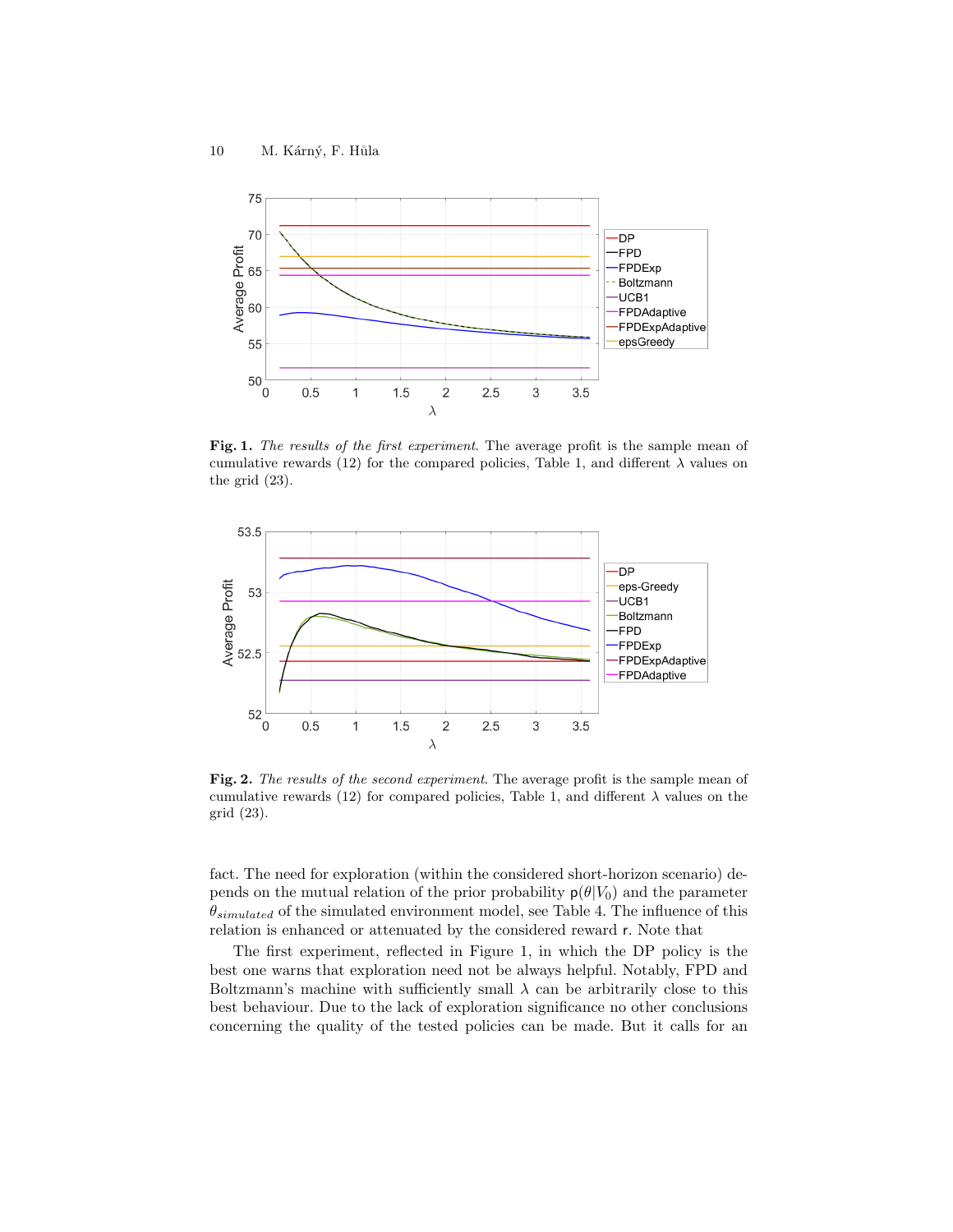

Fig. 1. The results of the first experiment. The average profit is the sample mean of cumulative rewards (12) for the compared policies, Table 1, and different  $\lambda$  values on the grid (23).



Fig. 2. The results of the second experiment. The average profit is the sample mean of cumulative rewards (12) for compared policies, Table 1, and different  $\lambda$  values on the grid (23).

fact. The need for exploration (within the considered short-horizon scenario) depends on the mutual relation of the prior probability  $p(\theta|V_0)$  and the parameter  $\theta_{simulated}$  of the simulated environment model, see Table 4. The influence of this relation is enhanced or attenuated by the considered reward r. Note that

The first experiment, reflected in Figure 1, in which the DP policy is the best one warns that exploration need not be always helpful. Notably, FPD and Boltzmann's machine with sufficiently small  $\lambda$  can be arbitrarily close to this best behaviour. Due to the lack of exploration significance no other conclusions concerning the quality of the tested policies can be made. But it calls for an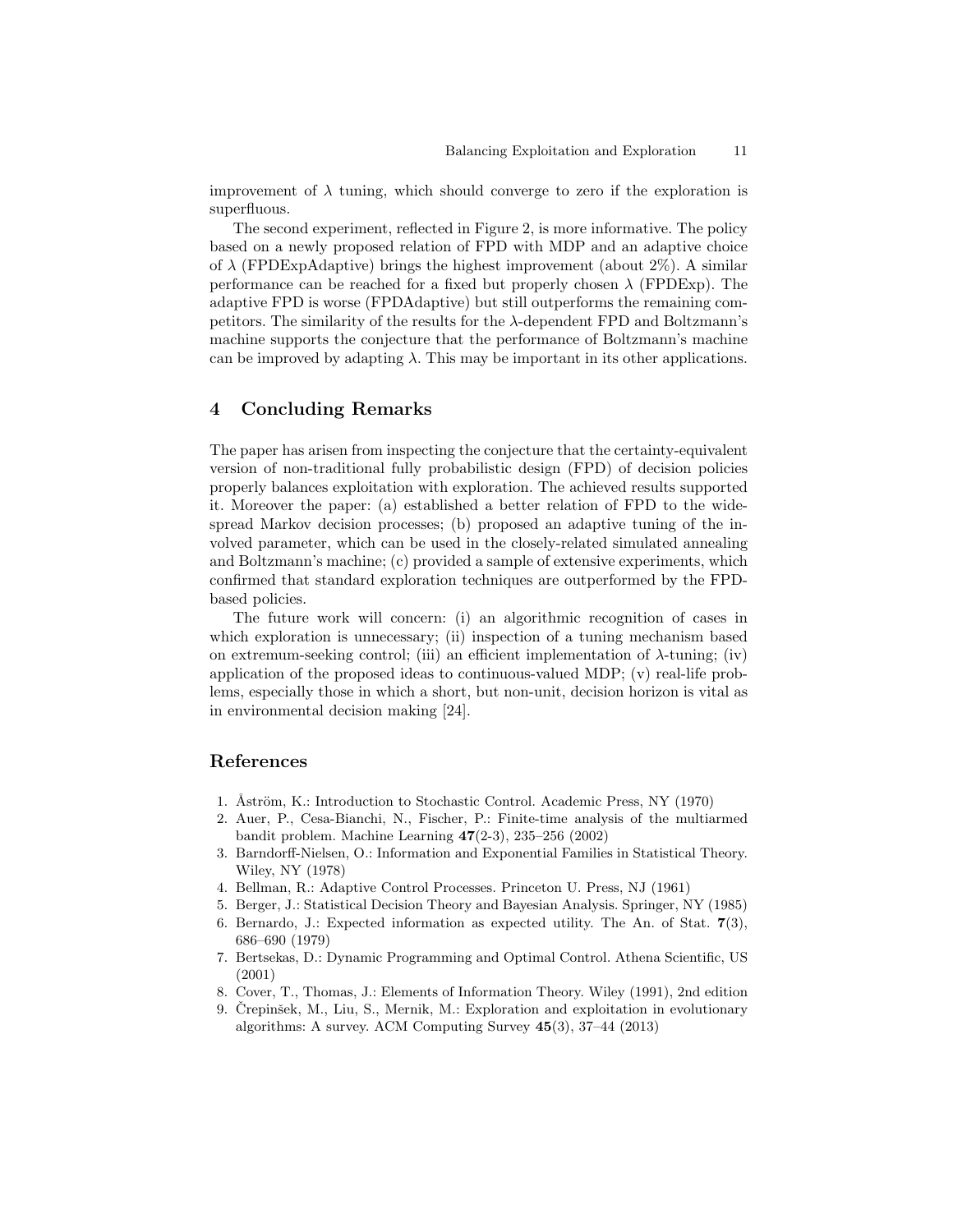improvement of  $\lambda$  tuning, which should converge to zero if the exploration is superfluous.

The second experiment, reflected in Figure 2, is more informative. The policy based on a newly proposed relation of FPD with MDP and an adaptive choice of  $\lambda$  (FPDExpAdaptive) brings the highest improvement (about 2%). A similar performance can be reached for a fixed but properly chosen  $\lambda$  (FPDExp). The adaptive FPD is worse (FPDAdaptive) but still outperforms the remaining competitors. The similarity of the results for the  $\lambda$ -dependent FPD and Boltzmann's machine supports the conjecture that the performance of Boltzmann's machine can be improved by adapting  $\lambda$ . This may be important in its other applications.

## 4 Concluding Remarks

The paper has arisen from inspecting the conjecture that the certainty-equivalent version of non-traditional fully probabilistic design (FPD) of decision policies properly balances exploitation with exploration. The achieved results supported it. Moreover the paper: (a) established a better relation of FPD to the widespread Markov decision processes; (b) proposed an adaptive tuning of the involved parameter, which can be used in the closely-related simulated annealing and Boltzmann's machine; (c) provided a sample of extensive experiments, which confirmed that standard exploration techniques are outperformed by the FPDbased policies.

The future work will concern: (i) an algorithmic recognition of cases in which exploration is unnecessary; (ii) inspection of a tuning mechanism based on extremum-seeking control; (iii) an efficient implementation of  $\lambda$ -tuning; (iv) application of the proposed ideas to continuous-valued MDP; (v) real-life problems, especially those in which a short, but non-unit, decision horizon is vital as in environmental decision making [24].

# References

- 1. Åström, K.: Introduction to Stochastic Control. Academic Press, NY (1970)
- 2. Auer, P., Cesa-Bianchi, N., Fischer, P.: Finite-time analysis of the multiarmed bandit problem. Machine Learning 47(2-3), 235–256 (2002)
- 3. Barndorff-Nielsen, O.: Information and Exponential Families in Statistical Theory. Wiley, NY (1978)
- 4. Bellman, R.: Adaptive Control Processes. Princeton U. Press, NJ (1961)
- 5. Berger, J.: Statistical Decision Theory and Bayesian Analysis. Springer, NY (1985)
- 6. Bernardo, J.: Expected information as expected utility. The An. of Stat. 7(3), 686–690 (1979)
- 7. Bertsekas, D.: Dynamic Programming and Optimal Control. Athena Scientific, US (2001)
- 8. Cover, T., Thomas, J.: Elements of Information Theory. Wiley (1991), 2nd edition
- 9. Črepinšek, M., Liu, S., Mernik, M.: Exploration and exploitation in evolutionary algorithms: A survey. ACM Computing Survey 45(3), 37–44 (2013)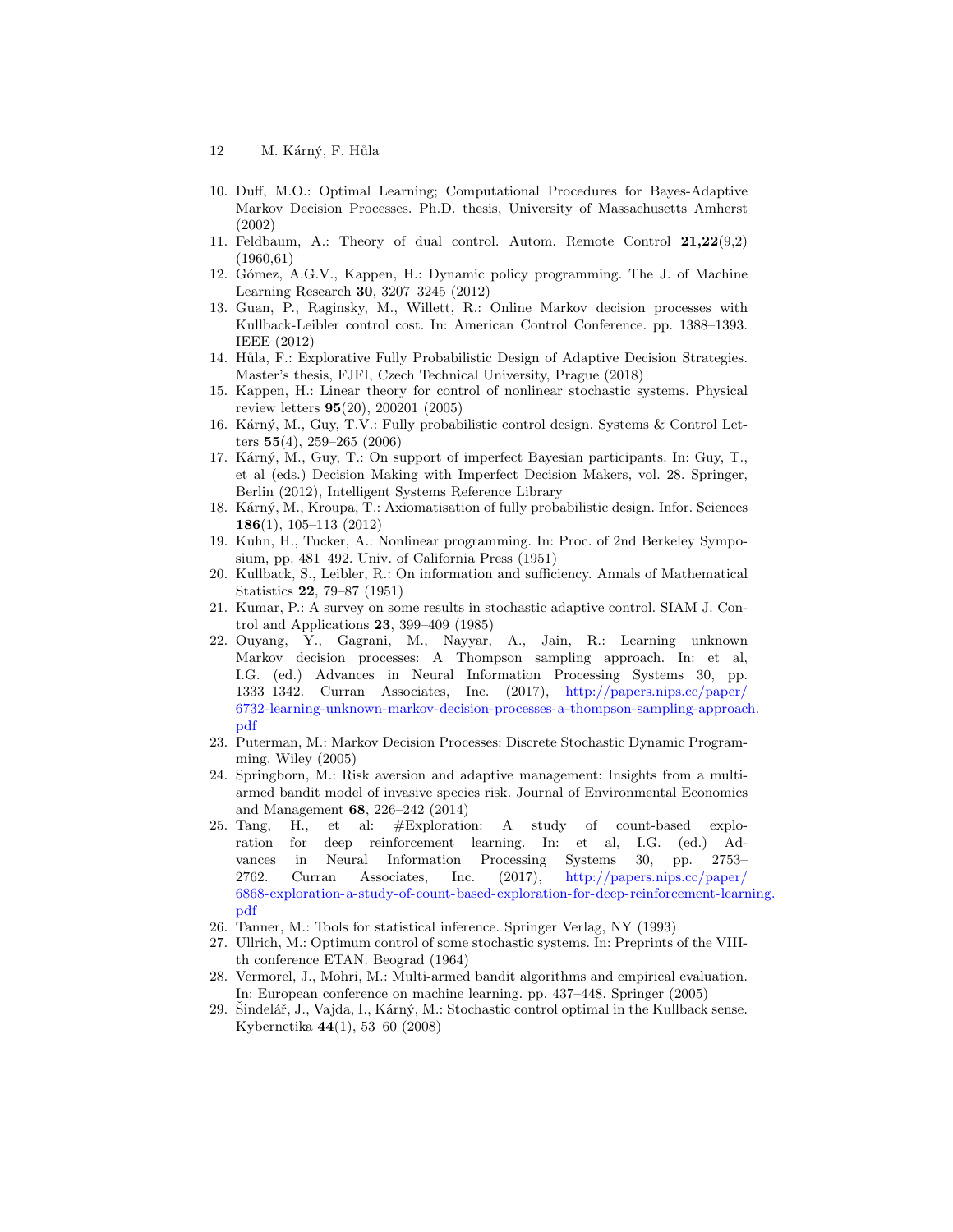- 12 M. Kárný, F. Hůla
- 10. Duff, M.O.: Optimal Learning; Computational Procedures for Bayes-Adaptive Markov Decision Processes. Ph.D. thesis, University of Massachusetts Amherst (2002)
- 11. Feldbaum, A.: Theory of dual control. Autom. Remote Control 21,22(9,2) (1960,61)
- 12. Gómez, A.G.V., Kappen, H.: Dynamic policy programming. The J. of Machine Learning Research 30, 3207–3245 (2012)
- 13. Guan, P., Raginsky, M., Willett, R.: Online Markov decision processes with Kullback-Leibler control cost. In: American Control Conference. pp. 1388–1393. IEEE (2012)
- 14. Hůla, F.: Explorative Fully Probabilistic Design of Adaptive Decision Strategies. Master's thesis, FJFI, Czech Technical University, Prague (2018)
- 15. Kappen, H.: Linear theory for control of nonlinear stochastic systems. Physical review letters 95(20), 200201 (2005)
- 16. Kárný, M., Guy, T.V.: Fully probabilistic control design. Systems & Control Letters  $55(4)$ , 259-265 (2006)
- 17. Kárný, M., Guy, T.: On support of imperfect Bayesian participants. In: Guy, T., et al (eds.) Decision Making with Imperfect Decision Makers, vol. 28. Springer, Berlin (2012), Intelligent Systems Reference Library
- 18. Kárný, M., Kroupa, T.: Axiomatisation of fully probabilistic design. Infor. Sciences 186(1), 105–113 (2012)
- 19. Kuhn, H., Tucker, A.: Nonlinear programming. In: Proc. of 2nd Berkeley Symposium, pp. 481–492. Univ. of California Press (1951)
- 20. Kullback, S., Leibler, R.: On information and sufficiency. Annals of Mathematical Statistics 22, 79–87 (1951)
- 21. Kumar, P.: A survey on some results in stochastic adaptive control. SIAM J. Control and Applications 23, 399–409 (1985)
- 22. Ouyang, Y., Gagrani, M., Nayyar, A., Jain, R.: Learning unknown Markov decision processes: A Thompson sampling approach. In: et al, I.G. (ed.) Advances in Neural Information Processing Systems 30, pp. 1333–1342. Curran Associates, Inc. (2017), http://papers.nips.cc/paper/ 6732-learning-unknown-markov-decision-processes-a-thompson-sampling-approach. pdf
- 23. Puterman, M.: Markov Decision Processes: Discrete Stochastic Dynamic Programming. Wiley (2005)
- 24. Springborn, M.: Risk aversion and adaptive management: Insights from a multiarmed bandit model of invasive species risk. Journal of Environmental Economics and Management 68, 226–242 (2014)
- 25. Tang, H., et al: #Exploration: A study of count-based exploration for deep reinforcement learning. In: et al, I.G. (ed.) Advances in Neural Information Processing Systems 30, pp. 2753– 2762. Curran Associates, Inc. (2017), http://papers.nips.cc/paper/ 6868-exploration-a-study-of-count-based-exploration-for-deep-reinforcement-learning. pdf
- 26. Tanner, M.: Tools for statistical inference. Springer Verlag, NY (1993)
- 27. Ullrich, M.: Optimum control of some stochastic systems. In: Preprints of the VIIIth conference ETAN. Beograd (1964)
- 28. Vermorel, J., Mohri, M.: Multi-armed bandit algorithms and empirical evaluation. In: European conference on machine learning. pp. 437–448. Springer (2005)
- 29. Šindelář, J., Vajda, I., Kárný, M.: Stochastic control optimal in the Kullback sense. Kybernetika 44(1), 53–60 (2008)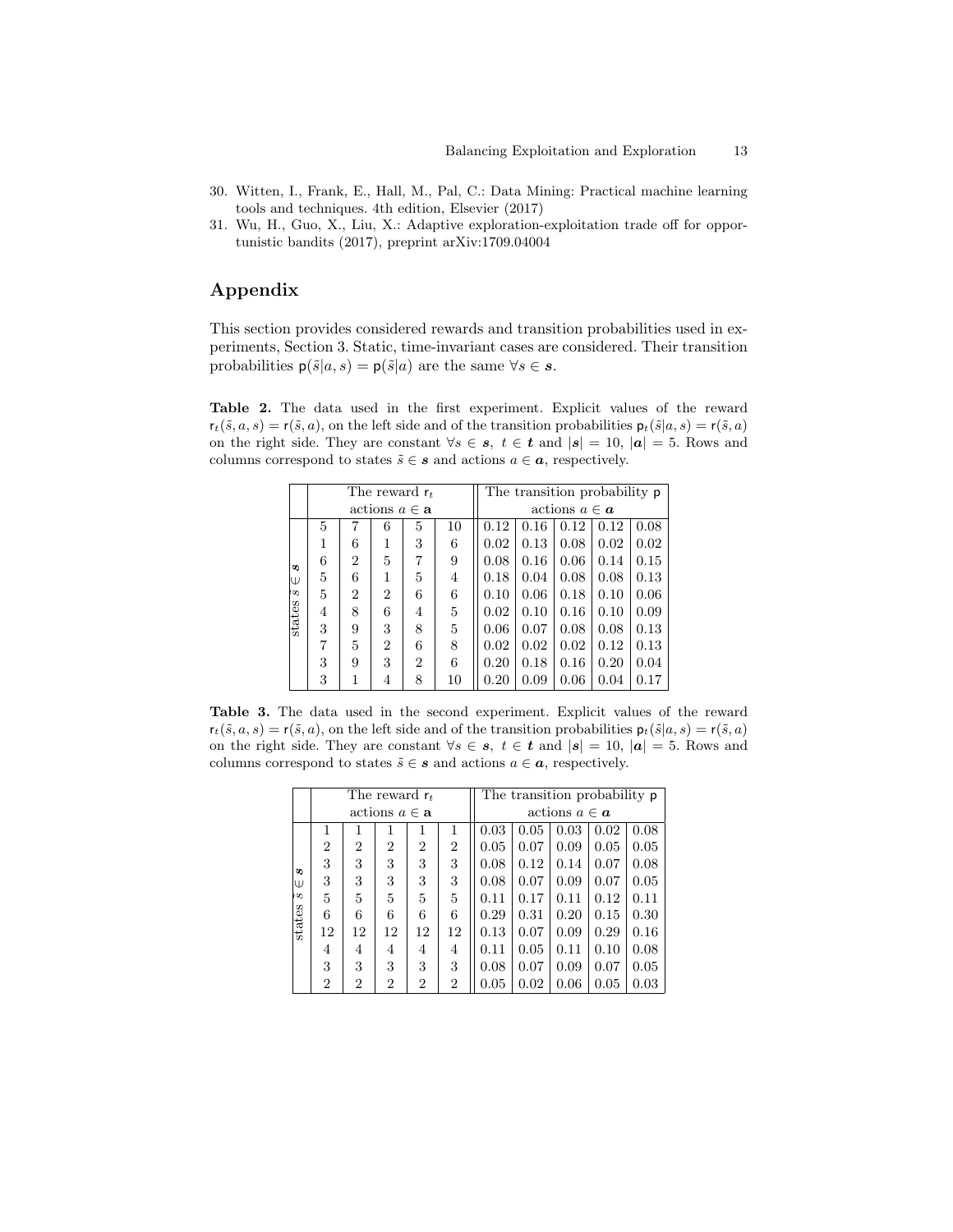- 30. Witten, I., Frank, E., Hall, M., Pal, C.: Data Mining: Practical machine learning tools and techniques. 4th edition, Elsevier (2017)
- 31. Wu, H., Guo, X., Liu, X.: Adaptive exploration-exploitation trade off for opportunistic bandits (2017), preprint arXiv:1709.04004

# Appendix

This section provides considered rewards and transition probabilities used in experiments, Section 3. Static, time-invariant cases are considered. Their transition probabilities  $p(\tilde{s}|a, s) = p(\tilde{s}|a)$  are the same  $\forall s \in s$ .

Table 2. The data used in the first experiment. Explicit values of the reward  $r_t(\tilde{s}, a, s) = r(\tilde{s}, a)$ , on the left side and of the transition probabilities  $p_t(\tilde{s}|a, s) = r(\tilde{s}, a)$ on the right side. They are constant  $\forall s \in \mathbf{s}, t \in \mathbf{t}$  and  $|\mathbf{s}| = 10$ ,  $|\mathbf{a}| = 5$ . Rows and columns correspond to states  $\tilde{s} \in \mathbf{s}$  and actions  $a \in \mathbf{a}$ , respectively.

|        |   |                |                                    | The reward $r_t$ |    | The transition probability <b>p</b> |      |      |      |      |  |
|--------|---|----------------|------------------------------------|------------------|----|-------------------------------------|------|------|------|------|--|
|        |   |                | $\text{actions } a \in \mathbf{a}$ |                  |    | actions $a \in \mathbf{a}$          |      |      |      |      |  |
|        | 5 | 7              | 6                                  | 5                | 10 | 0.12                                | 0.16 | 0.12 | 0.12 | 0.08 |  |
|        | 1 | 6              | 1                                  | 3                | 6  | 0.02                                | 0.13 | 0.08 | 0.02 | 0.02 |  |
| S      | 6 | $\overline{2}$ | 5                                  | 7                | 9  | 0.08                                | 0.16 | 0.06 | 0.14 | 0.15 |  |
| W      | 5 | 6              | 1                                  | 5                | 4  | 0.18                                | 0.04 | 0.08 | 0.08 | 0.13 |  |
| ķΩ     | 5 | $\overline{2}$ | $\overline{2}$                     | 6                | 6  | 0.10                                | 0.06 | 0.18 | 0.10 | 0.06 |  |
| states | 4 | 8              | 6                                  | 4                | 5  | 0.02                                | 0.10 | 0.16 | 0.10 | 0.09 |  |
|        | 3 | 9              | 3                                  | 8                | 5  | 0.06                                | 0.07 | 0.08 | 0.08 | 0.13 |  |
|        | 7 | 5              | $\overline{2}$                     | 6                | 8  | 0.02                                | 0.02 | 0.02 | 0.12 | 0.13 |  |
|        | 3 | 9              | 3                                  | $\overline{2}$   | 6  | 0.20                                | 0.18 | 0.16 | 0.20 | 0.04 |  |
|        | 3 | 1              | 4                                  | 8                | 10 | 0.20                                | 0.09 | 0.06 | 0.04 | 0.17 |  |

Table 3. The data used in the second experiment. Explicit values of the reward  $r_t(\tilde{s}, a, s) = r(\tilde{s}, a)$ , on the left side and of the transition probabilities  $p_t(\tilde{s}|a, s) = r(\tilde{s}, a)$ on the right side. They are constant  $\forall s \in \mathbf{s}, t \in \mathbf{t}$  and  $|\mathbf{s}| = 10$ ,  $|\mathbf{a}| = 5$ . Rows and columns correspond to states  $\tilde{s} \in \mathbf{s}$  and actions  $a \in \mathbf{a}$ , respectively.

|                      |                |    | The reward $r_t$                   |                |                | The transition probability <b>p</b> |      |      |      |      |  |
|----------------------|----------------|----|------------------------------------|----------------|----------------|-------------------------------------|------|------|------|------|--|
|                      |                |    | $\text{actions } a \in \mathbf{a}$ |                |                | actions $a \in \mathbf{a}$          |      |      |      |      |  |
|                      | 1              |    | 1                                  | 1              | 1              | 0.03                                | 0.05 | 0.03 | 0.02 | 0.08 |  |
|                      | $\overline{2}$ | 2  | 2                                  | $\overline{2}$ | $\overline{2}$ | 0.05                                | 0.07 | 0.09 | 0.05 | 0.05 |  |
| S                    | 3              | 3  | 3                                  | 3              | 3              | 0.08                                | 0.12 | 0.14 | 0.07 | 0.08 |  |
| W                    | 3              | 3  | 3                                  | 3              | 3              | 0.08                                | 0.07 | 0.09 | 0.07 | 0.05 |  |
| $\tilde{\mathbf{5}}$ | $\overline{5}$ | 5  | 5                                  | 5              | 5              | 0.11                                | 0.17 | 0.11 | 0.12 | 0.11 |  |
| states               | 6              | 6  | 6                                  | 6              | 6              | 0.29                                | 0.31 | 0.20 | 0.15 | 0.30 |  |
|                      | 12             | 12 | 12                                 | 12             | 12             | 0.13                                | 0.07 | 0.09 | 0.29 | 0.16 |  |
|                      | 4              | 4  | 4                                  | 4              | 4              | 0.11                                | 0.05 | 0.11 | 0.10 | 0.08 |  |
|                      | 3              | 3  | 3                                  | 3              | 3              | 0.08                                | 0.07 | 0.09 | 0.07 | 0.05 |  |
|                      | $\overline{2}$ | 2  | $\overline{2}$                     | $\overline{2}$ | $\overline{2}$ | 0.05                                | 0.02 | 0.06 | 0.05 | 0.03 |  |